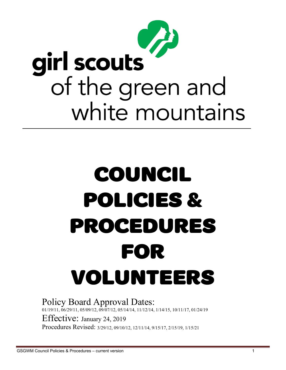

# COUNCIL POLICIES & PROCEDURES FOR VOLUNTEERS

Policy Board Approval Dates: 01/19/11, 06/29/11, 05/09/12, 09/07/12, 05/14/14, 11/12/14, 1/14/15, 10/11/17, 01/24/19 Effective: January 24, 2019 Procedures Revised: 3/29/12, 09/10/12, 12/11/14, 9/15/17, 2/15/19, 1/15/21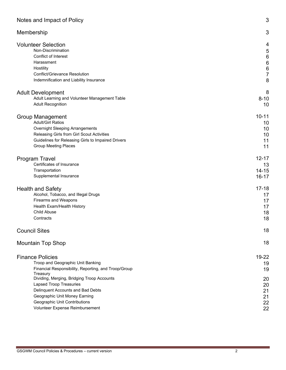| Notes and Impact of Policy                                                                                                                                                                                                                                                                                                                                 | 3                                                     |
|------------------------------------------------------------------------------------------------------------------------------------------------------------------------------------------------------------------------------------------------------------------------------------------------------------------------------------------------------------|-------------------------------------------------------|
| Membership                                                                                                                                                                                                                                                                                                                                                 | 3                                                     |
| <b>Volunteer Selection</b>                                                                                                                                                                                                                                                                                                                                 | 4                                                     |
| Non-Discrimination                                                                                                                                                                                                                                                                                                                                         | 5                                                     |
| Conflict of Interest                                                                                                                                                                                                                                                                                                                                       | $\,6\,$                                               |
| Harassment                                                                                                                                                                                                                                                                                                                                                 | $\boldsymbol{6}$                                      |
| Hostility                                                                                                                                                                                                                                                                                                                                                  | $\boldsymbol{6}$                                      |
| Conflict/Grievance Resolution                                                                                                                                                                                                                                                                                                                              | $\overline{7}$                                        |
| Indemnification and Liability Insurance                                                                                                                                                                                                                                                                                                                    | 8                                                     |
| <b>Adult Development</b>                                                                                                                                                                                                                                                                                                                                   | 8                                                     |
| Adult Learning and Volunteer Management Table                                                                                                                                                                                                                                                                                                              | $8 - 10$                                              |
| <b>Adult Recognition</b>                                                                                                                                                                                                                                                                                                                                   | 10                                                    |
| <b>Group Management</b>                                                                                                                                                                                                                                                                                                                                    | $10 - 11$                                             |
| <b>Adult/Girl Ratios</b>                                                                                                                                                                                                                                                                                                                                   | 10                                                    |
| <b>Overnight Sleeping Arrangements</b>                                                                                                                                                                                                                                                                                                                     | 10                                                    |
| Releasing Girls from Girl Scout Activities                                                                                                                                                                                                                                                                                                                 | 10                                                    |
| Guidelines for Releasing Girls to Impaired Drivers                                                                                                                                                                                                                                                                                                         | 11                                                    |
| <b>Group Meeting Places</b>                                                                                                                                                                                                                                                                                                                                | 11                                                    |
| <b>Program Travel</b>                                                                                                                                                                                                                                                                                                                                      | $12 - 17$                                             |
| Certificates of Insurance                                                                                                                                                                                                                                                                                                                                  | 13                                                    |
| Transportation                                                                                                                                                                                                                                                                                                                                             | $14 - 15$                                             |
| Supplemental Insurance                                                                                                                                                                                                                                                                                                                                     | $16 - 17$                                             |
| <b>Health and Safety</b>                                                                                                                                                                                                                                                                                                                                   | $17 - 18$                                             |
| Alcohol, Tobacco, and Illegal Drugs                                                                                                                                                                                                                                                                                                                        | 17                                                    |
| Firearms and Weapons                                                                                                                                                                                                                                                                                                                                       | 17                                                    |
| Health Exam/Health History                                                                                                                                                                                                                                                                                                                                 | 17                                                    |
| <b>Child Abuse</b>                                                                                                                                                                                                                                                                                                                                         | 18                                                    |
| Contracts                                                                                                                                                                                                                                                                                                                                                  | 18                                                    |
| <b>Council Sites</b>                                                                                                                                                                                                                                                                                                                                       | 18                                                    |
| <b>Mountain Top Shop</b>                                                                                                                                                                                                                                                                                                                                   | 18                                                    |
| <b>Finance Policies</b><br>Troop and Geographic Unit Banking<br>Financial Responsibility, Reporting, and Troop/Group<br>Treasury<br>Dividing, Merging, Bridging Troop Accounts<br><b>Lapsed Troop Treasuries</b><br>Delinquent Accounts and Bad Debts<br>Geographic Unit Money Earning<br>Geographic Unit Contributions<br>Volunteer Expense Reimbursement | 19-22<br>19<br>19<br>20<br>20<br>21<br>21<br>22<br>22 |

÷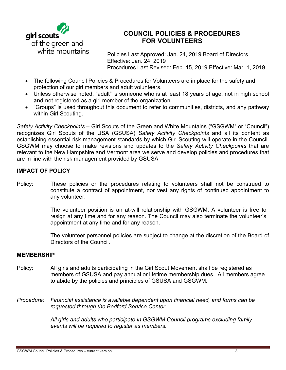

# **COUNCIL POLICIES & PROCEDURES FOR VOLUNTEERS**

 Policies Last Approved: Jan. 24, 2019 Board of Directors Effective: Jan. 24, 2019 Procedures Last Revised: Feb. 15, 2019 Effective: Mar. 1, 2019

- The following Council Policies & Procedures for Volunteers are in place for the safety and protection of our girl members and adult volunteers.
- Unless otherwise noted, "adult" is someone who is at least 18 years of age, not in high school **and** not registered as a girl member of the organization.
- "Groups" is used throughout this document to refer to communities, districts, and any pathway within Girl Scouting.

*Safety Activity Checkpoints* – Girl Scouts of the Green and White Mountains ("GSGWM" or "Council") recognizes Girl Scouts of the USA (GSUSA) *Safety Activity Checkpoints* and all its content as establishing essential risk management standards by which Girl Scouting will operate in the Council. GSGWM may choose to make revisions and updates to the *Safety Activity Checkpoints* that are relevant to the New Hampshire and Vermont area we serve and develop policies and procedures that are in line with the risk management provided by GSUSA.

# **IMPACT OF POLICY**

Policy: These policies or the procedures relating to volunteers shall not be construed to constitute a contract of appointment, nor vest any rights of continued appointment to any volunteer.

> The volunteer position is an at-will relationship with GSGWM. A volunteer is free to resign at any time and for any reason. The Council may also terminate the volunteer's appointment at any time and for any reason.

The volunteer personnel policies are subject to change at the discretion of the Board of Directors of the Council.

# **MEMBERSHIP**

- Policy: All girls and adults participating in the Girl Scout Movement shall be registered as members of GSUSA and pay annual or lifetime membership dues. All members agree to abide by the policies and principles of GSUSA and GSGWM.
- *Procedure: Financial assistance is available dependent upon financial need, and forms can be requested through the Bedford Service Center.*

*All girls and adults who participate in GSGWM Council programs excluding family events will be required to register as members.*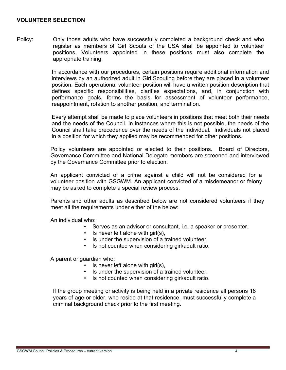### **VOLUNTEER SELECTION**

Policy: Only those adults who have successfully completed a background check and who register as members of Girl Scouts of the USA shall be appointed to volunteer positions. Volunteers appointed in these positions must also complete the appropriate training.

> In accordance with our procedures, certain positions require additional information and interviews by an authorized adult in Girl Scouting before they are placed in a volunteer position. Each operational volunteer position will have a written position description that defines specific responsibilities, clarifies expectations, and, in conjunction with performance goals, forms the basis for assessment of volunteer performance, reappointment, rotation to another position, and termination.

> Every attempt shall be made to place volunteers in positions that meet both their needs and the needs of the Council. In instances where this is not possible, the needs of the Council shall take precedence over the needs of the individual. Individuals not placed in a position for which they applied may be recommended for other positions.

> Policy volunteers are appointed or elected to their positions. Board of Directors, Governance Committee and National Delegate members are screened and interviewed by the Governance Committee prior to election.

An applicant convicted of a crime against a child will not be considered for a volunteer position with GSGWM. An applicant convicted of a misdemeanor or felony may be asked to complete a special review process.

Parents and other adults as described below are not considered volunteers if they meet all the requirements under either of the below:

An individual who:

- Serves as an advisor or consultant, i.e. a speaker or presenter.
- Is never left alone with girl(s),
- Is under the supervision of a trained volunteer,
- Is not counted when considering girl/adult ratio.

A parent or guardian who:

- Is never left alone with girl(s),
- Is under the supervision of a trained volunteer,
- Is not counted when considering girl/adult ratio.

If the group meeting or activity is being held in a private residence all persons 18 years of age or older, who reside at that residence, must successfully complete a criminal background check prior to the first meeting.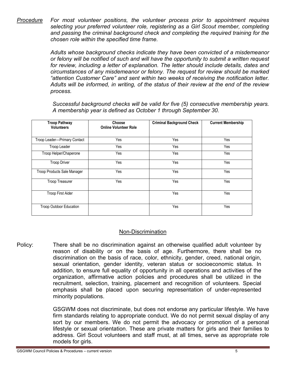*Procedure For most volunteer positions, the volunteer process prior to appointment requires selecting your preferred volunteer role, registering as a Girl Scout member, completing and passing the criminal background check and completing the required training for the chosen role within the specified time frame.*

> *Adults whose background checks indicate they have been convicted of a misdemeanor or felony will be notified of such and will have the opportunity to submit a written request for review, including a letter of explanation. The letter should include details, dates and circumstances of any misdemeanor or felony. The request for review should be marked "attention Customer Care" and sent within two weeks of receiving the notification letter. Adults will be informed, in writing, of the status of their review at the end of the review process.*

> *Successful background checks will be valid for five (5) consecutive membership years. A membership year is defined as October 1 through September 30.*

| <b>Troop Pathway</b><br><b>Volunteers</b> | Choose<br><b>Online Volunteer Role</b> | <b>Criminal Background Check</b> | <b>Current Membership</b> |
|-------------------------------------------|----------------------------------------|----------------------------------|---------------------------|
| Troop Leader-Primary Contact              | Yes                                    | Yes                              | Yes                       |
| Troop Leader                              | Yes                                    | Yes                              | Yes                       |
| Troop Helper/Chaperone                    | Yes                                    | Yes                              | Yes                       |
| <b>Troop Driver</b>                       | Yes                                    | Yes                              | Yes                       |
| Troop Products Sale Manager               | Yes                                    | Yes                              | Yes                       |
| <b>Troop Treasurer</b>                    | Yes                                    | Yes                              | Yes                       |
| <b>Troop First Aider</b>                  |                                        | Yes                              | Yes                       |
| Troop Outdoor Education                   |                                        | Yes                              | Yes                       |

# Non-Discrimination

Policy: There shall be no discrimination against an otherwise qualified adult volunteer by reason of disability or on the basis of age. Furthermore, there shall be no discrimination on the basis of race, color, ethnicity, gender, creed, national origin, sexual orientation, gender identity, veteran status or socioeconomic status. In addition, to ensure full equality of opportunity in all operations and activities of the organization, affirmative action policies and procedures shall be utilized in the recruitment, selection, training, placement and recognition of volunteers. Special emphasis shall be placed upon securing representation of under-represented minority populations.

> GSGWM does not discriminate, but does not endorse any particular lifestyle. We have firm standards relating to appropriate conduct. We do not permit sexual display of any sort by our members. We do not permit the advocacy or promotion of a personal lifestyle or sexual orientation. These are private matters for girls and their families to address. Girl Scout volunteers and staff must, at all times, serve as appropriate role models for girls.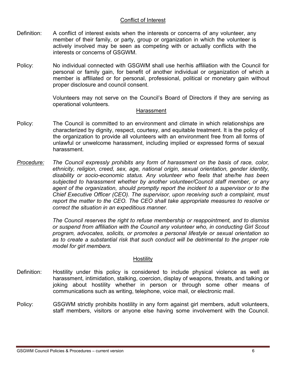# Conflict of Interest

- Definition: A conflict of interest exists when the interests or concerns of any volunteer, any member of their family, or party, group or organization in which the volunteer is actively involved may be seen as competing with or actually conflicts with the interests or concerns of GSGWM.
- Policy: No individual connected with GSGWM shall use her/his affiliation with the Council for personal or family gain, for benefit of another individual or organization of which a member is affiliated or for personal, professional, political or monetary gain without proper disclosure and council consent.

Volunteers may not serve on the Council's Board of Directors if they are serving as operational volunteers.

### Harassment

- Policy: The Council is committed to an environment and climate in which relationships are characterized by dignity, respect, courtesy, and equitable treatment. It is the policy of the organization to provide all volunteers with an environment free from all forms of unlawful or unwelcome harassment, including implied or expressed forms of sexual harassment.
- *Procedure: The Council expressly prohibits any form of harassment on the basis of race, color, ethnicity, religion, creed, sex, age, national origin, sexual orientation, gender identity, disability or socio-economic status. Any volunteer who feels that she/he has been subjected to harassment whether by another volunteer/Council staff member, or any agent of the organization, should promptly report the incident to a supervisor or to the Chief Executive Officer (CEO). The supervisor, upon receiving such a complaint, must report the matter to the CEO. The CEO shall take appropriate measures to resolve or correct the situation in an expeditious manner.*

*The Council reserves the right to refuse membership or reappointment, and to dismiss or suspend from affiliation with the Council any volunteer who, in conducting Girl Scout program, advocates, solicits, or promotes a personal lifestyle or sexual orientation so as to create a substantial risk that such conduct will be detrimental to the proper role model for girl members.*

# **Hostility**

- Definition: Hostility under this policy is considered to include physical violence as well as harassment, intimidation, stalking, coercion, display of weapons, threats, and talking or joking about hostility whether in person or through some other means of communications such as writing, telephone, voice mail, or electronic mail.
- Policy: GSGWM strictly prohibits hostility in any form against girl members, adult volunteers, staff members, visitors or anyone else having some involvement with the Council.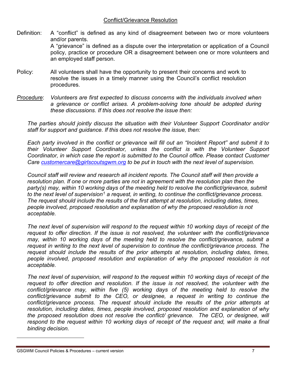- Definition: A "conflict" is defined as any kind of disagreement between two or more volunteers and/or parents. A "grievance" is defined as a dispute over the interpretation or application of a Council policy, practice or procedure OR a disagreement between one or more volunteers and an employed staff person.
- Policy: All volunteers shall have the opportunity to present their concerns and work to resolve the issues in a timely manner using the Council's conflict resolution procedures.
- *Procedure*: *Volunteers are first expected to discuss concerns with the individuals involved when a grievance or conflict arises. A problem-solving tone should be adopted during these discussions. If this does not resolve the issue then:*

*The parties should jointly discuss the situation with their Volunteer Support Coordinator and/or staff for support and guidance. If this does not resolve the issue, then:* 

*Each party involved in the conflict or grievance will fill out an "Incident Report" and submit it to their Volunteer Support Coordinator, unless the conflict is with the Volunteer Support Coordinator, in which case the report is submitted to the Council office. Please contact Customer Care [customercare@girlscoutsgwm.org](mailto:customercare@girlscoutsgwm.org) to be put in touch with the next level of supervision.*

*Council staff will review and research all incident reports. The Council staff will then provide a*  resolution plan. If one or more parties are not in agreement with the resolution plan then the *party(s) may, within 10 working days of the meeting held to resolve the conflict/grievance, submit to the next level of supervision[1](#page-6-0) a request, in writing, to continue the conflict/grievance process. The request should include the results of the first attempt at resolution, including dates, times, people involved, proposed resolution and explanation of why the proposed resolution is not acceptable.*

*The next level of supervision will respond to the request within 10 working days of receipt of the request to offer direction. If the issue is not resolved, the volunteer with the conflict/grievance may, within 10 working days of the meeting held to resolve the conflict/grievance, submit a request in writing to the next level of supervision to continue the conflict/grievance process. The request should include the results of the prior attempts at resolution, including dates, times, people involved, proposed resolution and explanation of why the proposed resolution is not acceptable.*

<span id="page-6-0"></span>*The next level of supervision, will respond to the request within 10 working days of receipt of the request to offer direction and resolution. If the issue is not resolved, the volunteer with the*  conflict/grievance may, within five (5) working days of the meeting held to resolve the *conflict/grievance submit to the CEO, or designee, a request in writing to continue the conflict/grievance process. The request should include the results of the prior attempts at resolution, including dates, times, people involved, proposed resolution and explanation of why the proposed resolution does not resolve the conflict/ grievance. The CEO, or designee, will respond to the request within 10 working days of receipt of the request and, will make a final binding decision.*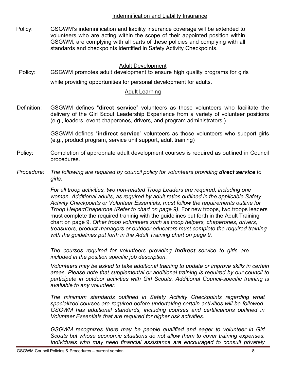# Indemnification and Liability Insurance

Policy: GSGWM's indemnification and liability insurance coverage will be extended to volunteers who are acting within the scope of their appointed position within GSGWM, are complying with all parts of these policies and complying with all standards and checkpoints identified in Safety Activity Checkpoints.

# Adult Development

Policy: GSGWM promotes adult development to ensure high quality programs for girls while providing opportunities for personal development for adults.

# Adult Learning

Definition: GSGWM defines "**direct service**" volunteers as those volunteers who facilitate the delivery of the Girl Scout Leadership Experience from a variety of volunteer positions (e.g., leaders, event chaperones, drivers, and program administrators.)

> GSGWM defines "**indirect service**" volunteers as those volunteers who support girls (e.g., product program, service unit support, adult training)

- Policy: Completion of appropriate adult development courses is required as outlined in Council procedures.
- *Procedure:* The following are required by council policy for volunteers providing **direct service** to *girls.*

*For all troop activities, two non-related Troop Leaders are required, including one woman. Additional adults, as required by adult ratios outlined in the applicable Safety Activity Checkpoints or Volunteer Essentials, must follow the requirements outline for Troop Helper/Chaperone (Refer to chart on page 9).* For new troops, two troops leaders must complete the required traninig with the guidelines put forth in the Adult Training chart on page 9. *Other troop volunteers such as troop helpers, chaperones, drivers, treasurers, product managers or outdoor educators must complete the required training with the guidelines put forth in the Adult Training chart on page 9.* 

*The courses required for volunteers providing indirect service to girls are included in the position specific job description.*

*Volunteers may be asked to take additional training to update or improve skills in certain areas. Please note that supplemental or additional training is required by our council to participate in outdoor activities with Girl Scouts. Additional Council-specific training is available to any volunteer.*

*The minimum standards outlined in Safety Activity Checkpoints regarding what specialized courses are required before undertaking certain activities will be followed. GSGWM has additional standards, including courses and certifications outlined in Volunteer Essentials that are required for higher risk activities.*

*GSGWM recognizes there may be people qualified and eager to volunteer in Girl Scouts but whose economic situations do not allow them to cover training expenses. Individuals who may need financial assistance are encouraged to consult privately*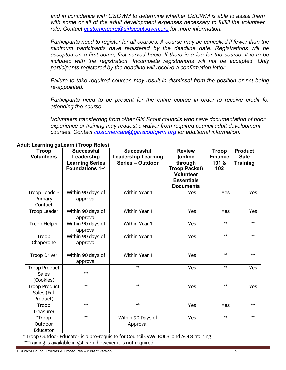*and in confidence with GSGWM to determine whether GSGWM is able to assist them with some or all of the adult development expenses necessary to fulfill the volunteer role. Contact [customercare@girlscoutsgwm.org](mailto:customercare@girlscoutsgwm.org) for more information.* 

*Participants need to register for all courses. A course may be cancelled if fewer than the minimum participants have registered by the deadline date. Registrations will be*  accepted on a first come, first served basis. If there is a fee for the course, it is to be *included with the registration. Incomplete registrations will not be accepted. Only participants registered by the deadline will receive a confirmation letter.*

*Failure to take required courses may result in dismissal from the position or not being re-appointed.* 

*Participants need to be present for the entire course in order to receive credit for attending the course.*

*Volunteers transferring from other Girl Scout councils who have documentation of prior experience or training may request a waiver from required council adult development courses. Contact [customercare@girlscoutgwm.org](mailto:customercare@girlscoutgwm.org) for additional information.* 

| <b>Troop</b><br><b>Volunteers</b>                 | <b>Successful</b><br>Leadership<br><b>Learning Series</b><br><b>Foundations 1-4</b> | <b>Successful</b><br><b>Leadership Learning</b><br>Series - Outdoor | <b>Review</b><br>(online<br>through<br><b>Troop Packet)</b><br><b>Volunteer</b><br><b>Essentials</b><br><b>Documents</b> | <b>Troop</b><br><b>Finance</b><br>101 &<br>102 | <b>Product</b><br><b>Sale</b><br><b>Training</b> |
|---------------------------------------------------|-------------------------------------------------------------------------------------|---------------------------------------------------------------------|--------------------------------------------------------------------------------------------------------------------------|------------------------------------------------|--------------------------------------------------|
| Troop Leader-<br>Primary<br>Contact               | Within 90 days of<br>approval                                                       | Within Year 1                                                       | Yes                                                                                                                      | Yes                                            | Yes                                              |
| Troop Leader                                      | Within 90 days of<br>approval                                                       | Within Year 1                                                       | Yes                                                                                                                      | Yes                                            | Yes                                              |
| <b>Troop Helper</b>                               | Within 90 days of<br>approval                                                       | Within Year 1                                                       | Yes                                                                                                                      | $**$                                           | $**$                                             |
| Troop<br>Chaperone                                | Within 90 days of<br>approval                                                       | Within Year 1                                                       | Yes                                                                                                                      | $**$                                           | $**$                                             |
| <b>Troop Driver</b>                               | Within 90 days of<br>approval                                                       | Within Year 1                                                       | Yes                                                                                                                      | $*$                                            | $**$                                             |
| <b>Troop Product</b><br><b>Sales</b><br>(Cookies) | $**$                                                                                | $**$                                                                | Yes                                                                                                                      | $**$                                           | Yes                                              |
| <b>Troop Product</b><br>Sales (Fall<br>Product)   | $**$                                                                                | $**$                                                                | Yes                                                                                                                      | $**$                                           | Yes                                              |
| Troop<br>Treasurer                                | $**$                                                                                | $**$                                                                | Yes                                                                                                                      | Yes                                            | $**$                                             |
| *Troop<br>Outdoor<br>Educator                     | $**$                                                                                | Within 90 Days of<br>Approval                                       | Yes                                                                                                                      | $**$                                           | $**$                                             |

**Adult Learning gsLearn (Troop Roles)**

\* Troop Outdoor Educator is a pre-requisite for Council OAW, BOLS, and AOLS training \*\*Training is available in gsLearn, however it is not required.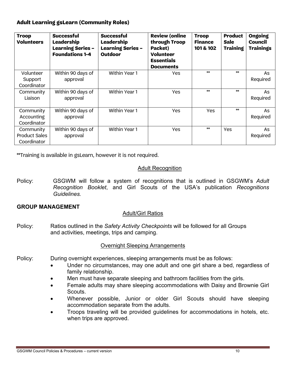# **Adult Learning gsLearn (Community Roles)**

| <b>Troop</b><br><b>Volunteers</b>                | <b>Successful</b><br><b>Leadership</b><br><b>Learning Series -</b><br><b>Foundations 1-4</b> | <b>Successful</b><br><b>Leadership</b><br><b>Learning Series -</b><br>Outdoor | <b>Review (online</b><br>through Troop<br>Packet)<br><b>Volunteer</b><br><b>Essentials</b><br><b>Documents</b> | <b>Troop</b><br><b>Finance</b><br>101 & 102 | <b>Product</b><br><b>Sale</b><br><b>Training</b> | <b>Ongoing</b><br><b>Council</b><br><b>Trainings</b> |
|--------------------------------------------------|----------------------------------------------------------------------------------------------|-------------------------------------------------------------------------------|----------------------------------------------------------------------------------------------------------------|---------------------------------------------|--------------------------------------------------|------------------------------------------------------|
| Volunteer<br>Support<br>Coordinator              | Within 90 days of<br>approval                                                                | Within Year 1                                                                 | Yes                                                                                                            | $**$                                        | $**$                                             | As<br>Required                                       |
| Community<br>Liaison                             | Within 90 days of<br>approval                                                                | Within Year 1                                                                 | <b>Yes</b>                                                                                                     | $**$                                        | $**$                                             | As<br>Required                                       |
| Community<br>Accounting<br>Coordinator           | Within 90 days of<br>approval                                                                | Within Year 1                                                                 | Yes                                                                                                            | <b>Yes</b>                                  | $**$                                             | As<br>Required                                       |
| Community<br><b>Product Sales</b><br>Coordinator | Within 90 days of<br>approval                                                                | Within Year 1                                                                 | Yes                                                                                                            | $**$                                        | Yes                                              | As<br>Required                                       |

\*\*Training is available in gsLearn, however it is not required.

# Adult Recognition

Policy: GSGWM will follow a system of recognitions that is outlined in GSGWM's *Adult Recognition Booklet*, and Girl Scouts of the USA's publication *Recognitions Guidelines.*

# **GROUP MANAGEMENT**

# Adult/Girl Ratios

Policy: Ratios outlined in the *Safety Activity Checkpoints* will be followed for all Groups and activities, meetings, trips and camping.

# Overnight Sleeping Arrangements

- Policy: During overnight experiences, sleeping arrangements must be as follows:
	- Under no circumstances, may one adult and one girl share a bed, regardless of family relationship.
	- Men must have separate sleeping and bathroom facilities from the girls.
	- Female adults may share sleeping accommodations with Daisy and Brownie Girl Scouts.
	- Whenever possible, Junior or older Girl Scouts should have sleeping accommodation separate from the adults.
	- Troops traveling will be provided guidelines for accommodations in hotels, etc. when trips are approved.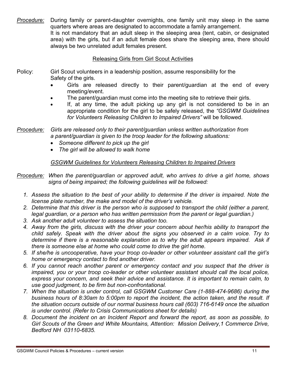*Procedure:* During family or parent-daughter overnights, one family unit may sleep in the same quarters where areas are designated to accommodate a family arrangement. It is not mandatory that an adult sleep in the sleeping area (tent, cabin, or designated area) with the girls, but if an adult female does share the sleeping area, there should always be two unrelated adult females present.

# Releasing Girls from Girl Scout Activities

- Policy: Girl Scout volunteers in a leadership position, assume responsibility for the Safety of the girls.
	- Girls are released directly to their parent/guardian at the end of every meeting/event.
	- The parent/guardian must come into the meeting site to retrieve their girls.
	- If, at any time, the adult picking up any girl is not considered to be in an appropriate condition for the girl to be safely released, the *"GSGWM Guidelines for Volunteers Releasing Children to Impaired Drivers"* will be followed.

*Procedure: Girls are released only to their parent/guardian unless written authorization from a parent/guardian is given to the troop leader for the following situations:*

- *Someone different to pick up the girl*
- *The girl will be allowed to walk home*

# *GSGWM Guidelines for Volunteers Releasing Children to Impaired Drivers*

*Procedure: When the parent/guardian or approved adult, who arrives to drive a girl home, shows signs of being impaired; the following guidelines will be followed:*

- *1. Assess the situation to the best of your ability to determine if the driver is impaired. Note the license plate number, the make and model of the driver's vehicle.*
- *2. Determine that this driver is the person who is supposed to transport the child (either a parent, legal guardian, or a person who has written permission from the parent or legal guardian.)*
- *3. Ask another adult volunteer to assess the situation too.*
- *4. Away from the girls, discuss with the driver your concern about her/his ability to transport the child safely. Speak with the driver about the signs you observed in a calm voice. Try to determine if there is a reasonable explanation as to why the adult appears impaired. Ask if there is someone else at home who could come to drive the girl home.*
- *5. If she/he is uncooperative, have your troop co-leader or other volunteer assistant call the girl's home or emergency contact to find another driver.*
- *6. If you cannot reach another parent or emergency contact and you suspect that the driver is impaired, you or your troop co-leader or other volunteer assistant should call the local police, express your concern, and seek their advice and assistance. It is important to remain calm, to use good judgment, to be firm but non-confrontational.*
- *7. When the situation is under control, call GSGWM Customer Care (1-888-474-9686) during the business hours of 8:30am to 5:00pm to report the incident, the action taken, and the result. If the situation occurs outside of our normal business hours call (603) 716-6149 once the situation is under control. (Refer to Crisis Communications sheet for details)*
- *8. Document the incident on an Incident Report and forward the report, as soon as possible, to Girl Scouts of the Green and White Mountains, Attention: Mission Delivery,1 Commerce Drive, Bedford NH 03110-6835.*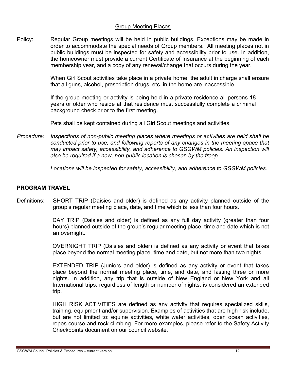# Group Meeting Places

Policy: Regular Group meetings will be held in public buildings. Exceptions may be made in order to accommodate the special needs of Group members. All meeting places not in public buildings must be inspected for safety and accessibility prior to use. In addition, the homeowner must provide a current Certificate of Insurance at the beginning of each membership year, and a copy of any renewal/change that occurs during the year.

> When Girl Scout activities take place in a private home, the adult in charge shall ensure that all guns, alcohol, prescription drugs, etc. in the home are inaccessible.

If the group meeting or activity is being held in a private residence all persons 18 years or older who reside at that residence must successfully complete a criminal background check prior to the first meeting.

Pets shall be kept contained during all Girl Scout meetings and activities.

*Procedure: Inspections of non-public meeting places where meetings or activities are held shall be conducted prior to use, and following reports of any changes in the meeting space that may impact safety, accessibility, and adherence to GSGWM policies. An inspection will also be required if a new, non-public location is chosen by the troop.* 

*Locations will be inspected for safety, accessibility, and adherence to GSGWM policies.*

# **PROGRAM TRAVEL**

Definitions: SHORT TRIP (Daisies and older) is defined as any activity planned outside of the group's regular meeting place, date, and time which is less than four hours.

> DAY TRIP (Daisies and older) is defined as any full day activity (greater than four hours) planned outside of the group's regular meeting place, time and date which is not an overnight.

> OVERNIGHT TRIP (Daisies and older) is defined as any activity or event that takes place beyond the normal meeting place, time and date, but not more than two nights.

> EXTENDED TRIP (Juniors and older) is defined as any activity or event that takes place beyond the normal meeting place, time, and date, and lasting three or more nights. In addition, any trip that is outside of New England or New York and all International trips, regardless of length or number of nights, is considered an extended trip.

> HIGH RISK ACTIVITIES are defined as any activity that requires specialized skills, training, equipment and/or supervision. Examples of activities that are high risk include, but are not limited to: equine activities, white water activities, open ocean activities, ropes course and rock climbing. For more examples, please refer to the Safety Activity Checkpoints document on our council website.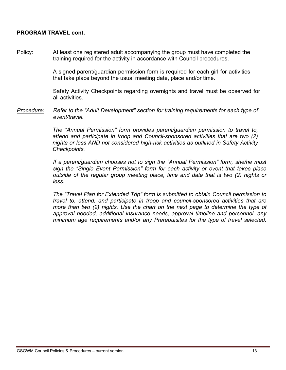# **PROGRAM TRAVEL cont.**

Policy: At least one registered adult accompanying the group must have completed the training required for the activity in accordance with Council procedures.

> A signed parent/guardian permission form is required for each girl for activities that take place beyond the usual meeting date, place and/or time.

Safety Activity Checkpoints regarding overnights and travel must be observed for all activities.

*Procedure: Refer to the "Adult Development" section for training requirements for each type of event/travel.* 

> *The "Annual Permission" form provides parent/guardian permission to travel to, attend and participate in troop and Council-sponsored activities that are two (2) nights or less AND not considered high-risk activities as outlined in Safety Activity Checkpoints.*

*If a parent/guardian chooses not to sign the "Annual Permission" form, she/he must sign the "Single Event Permission" form for each activity or event that takes place outside of the regular group meeting place, time and date that is two (2) nights or less.* 

*The "Travel Plan for Extended Trip" form is submitted to obtain Council permission to travel to, attend, and participate in troop and council-sponsored activities that are more than two (2) nights. Use the chart on the next page to determine the type of approval needed, additional insurance needs, approval timeline and personnel, any minimum age requirements and/or any Prerequisites for the type of travel selected.*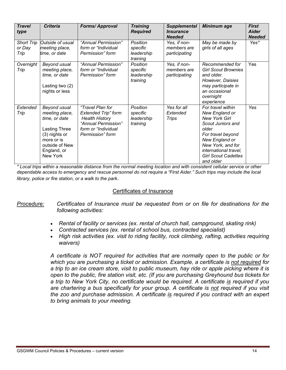| <b>Travel</b><br>type        | <b>Criteria</b>                                                                                                                                     | <b>Forms/Approval</b>                                                                                                                     | <b>Training</b><br><b>Required</b>             | <b>Supplemental</b><br><i><b>Insurance</b></i><br><b>Needed</b> | <b>Minimum age</b>                                                                                                                                                                                                        | <b>First</b><br><b>Aider</b><br><b>Needed</b> |
|------------------------------|-----------------------------------------------------------------------------------------------------------------------------------------------------|-------------------------------------------------------------------------------------------------------------------------------------------|------------------------------------------------|-----------------------------------------------------------------|---------------------------------------------------------------------------------------------------------------------------------------------------------------------------------------------------------------------------|-----------------------------------------------|
| Short Trip<br>or Day<br>Trip | Outside of usual<br>meeting place,<br>time, or date                                                                                                 | "Annual Permission"<br>form or "Individual<br>Permission" form                                                                            | Position<br>specific<br>leadership<br>training | Yes, if non-<br>members are<br>participating                    | May be made by<br>girls of all ages                                                                                                                                                                                       | Yes*                                          |
| Overnight<br>Trip            | Beyond usual<br>meeting place,<br>time, or date<br>Lasting two (2)<br>nights or less                                                                | "Annual Permission"<br>form or "Individual<br>Permission" form                                                                            | Position<br>specific<br>leadership<br>training | Yes, if non-<br>members are<br>participating                    | Recommended for<br><b>Girl Scout Brownies</b><br>and older.<br>However, Daisies<br>may participate in<br>an occasional<br>overnight<br>experience                                                                         | Yes                                           |
| Extended<br>Trip             | Beyond usual<br>meeting place,<br>time, or date<br><b>Lasting Three</b><br>(3) nights or<br>more or is<br>outside of New<br>England, or<br>New York | "Travel Plan for<br><b>Extended Trip" form</b><br><b>Health History</b><br>"Annual Permission"<br>form or "Individual<br>Permission" form | Position<br>specific<br>leadership<br>training | Yes for all<br>Extended<br>Trips                                | For travel within<br>New England or<br><b>New York Girl</b><br>Scout Juniors and<br>older<br>For travel beyond<br>New England or<br>New York, and for<br>international travel,<br><b>Girl Scout Cadettes</b><br>and older | Yes                                           |

*\* Local trips within a reasonable distance from the normal meeting location and with consistent cellular service or other dependable access to emergency and rescue personnel do not require a "First Aider." Such trips may include the local library, police or fire station, or a walk to the park*.

# Certificates of Insurance

*Procedure: Certificates of Insurance must be requested from or on file for destinations for the following activities:*

- *Rental of facility or services (ex. rental of church hall, campground, skating rink)*
- *Contracted services (ex. rental of school bus, contracted specialist)*
- *High risk activities (ex. visit to riding facility, rock climbing, rafting, activities requiring waivers)*

*A certificate is NOT required for activities that are normally open to the public or for which you are purchasing a ticket or admission. Example, a certificate is not required for a trip to an ice cream store, visit to public museum, hay ride or apple picking where it is open to the public, fire station visit, etc. (If you are purchasing Greyhound bus tickets for a trip to New York City, no certificate would be required. A certificate is required if you are chartering a bus specifically for your group. A certificate is not required if you visit the zoo and purchase admission. A certificate is required if you contract with an expert to bring animals to your meeting.*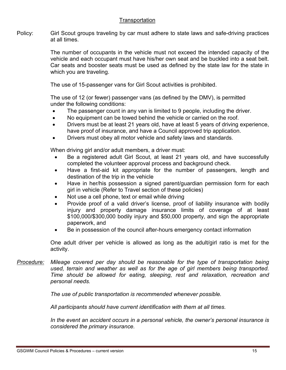# **Transportation**

Policy: Girl Scout groups traveling by car must adhere to state laws and safe-driving practices at all times.

> The number of occupants in the vehicle must not exceed the intended capacity of the vehicle and each occupant must have his/her own seat and be buckled into a seat belt. Car seats and booster seats must be used as defined by the state law for the state in which you are traveling.

The use of 15-passenger vans for Girl Scout activities is prohibited.

The use of 12 (or fewer) passenger vans (as defined by the DMV), is permitted under the following conditions:

- The passenger count in any van is limited to 9 people, including the driver.
- No equipment can be towed behind the vehicle or carried on the roof.
- Drivers must be at least 21 years old, have at least 5 years of driving experience, have proof of insurance, and have a Council approved trip application.
- Drivers must obey all motor vehicle and safety laws and standards.

When driving girl and/or adult members, a driver must:

- Be a registered adult Girl Scout, at least 21 years old, and have successfully completed the volunteer approval process and background check.
- Have a first-aid kit appropriate for the number of passengers, length and destination of the trip in the vehicle
- Have in her/his possession a signed parent/guardian permission form for each girl in vehicle (Refer to Travel section of these policies)
- Not use a cell phone, text or email while driving
- Provide proof of a valid driver's license, proof of liability insurance with bodily injury and property damage insurance limits of coverage of at least \$100,000/\$300,000 bodily injury and \$50,000 property, and sign the appropriate paperwork, and
- Be in possession of the council after-hours emergency contact information

One adult driver per vehicle is allowed as long as the adult/girl ratio is met for the activity.

*Procedure: Mileage covered per day should be reasonable for the type of transportation being used, terrain and weather as well as for the age of girl members being transported. Time should be allowed for eating, sleeping, rest and relaxation, recreation and personal needs.*

*The use of public transportation is recommended whenever possible.*

*All participants should have current identification with them at all times.*

*In the event an accident occurs in a personal vehicle, the owner's personal insurance is considered the primary insurance.*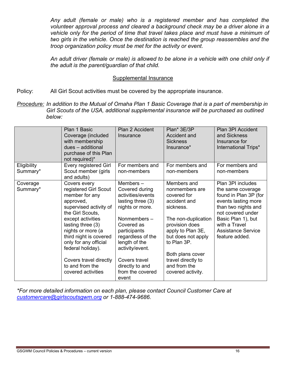*Any adult (female or male) who is a registered member and has completed the volunteer approval process and cleared a background check may be a driver alone in a vehicle only for the period of time that travel takes place and must have a minimum of two girls in the vehicle. Once the destination is reached the group reassembles and the troop organization policy must be met for the activity or event.*

*An adult driver (female or male) is allowed to be alone in a vehicle with one child only if the adult is the parent/guardian of that child.*

## Supplemental Insurance

Policy: All Girl Scout activities must be covered by the appropriate insurance.

*Procedure: In addition to the Mutual of Omaha Plan 1 Basic Coverage that is a part of membership in Girl Scouts of the USA, additional supplemental insurance will be purchased as outlined below:*

|                         | Plan 1 Basic<br>Coverage (included<br>with membership<br>dues - additional<br>purchase of this Plan<br>not required)*                                                                                                                                                                                                        | Plan 2 Accident<br>Insurance                                                                                                                                                                                                                                   | Plan* 3E/3P<br>Accident and<br><b>Sickness</b><br>Insurance*                                                                                                                                                                                                | Plan 3PI Accident<br>and Sickness<br>Insurance for<br>International Trips*                                                                                                                                               |
|-------------------------|------------------------------------------------------------------------------------------------------------------------------------------------------------------------------------------------------------------------------------------------------------------------------------------------------------------------------|----------------------------------------------------------------------------------------------------------------------------------------------------------------------------------------------------------------------------------------------------------------|-------------------------------------------------------------------------------------------------------------------------------------------------------------------------------------------------------------------------------------------------------------|--------------------------------------------------------------------------------------------------------------------------------------------------------------------------------------------------------------------------|
| Eligibility<br>Summary* | Every registered Girl<br>Scout member (girls<br>and adults)                                                                                                                                                                                                                                                                  | For members and<br>non-members                                                                                                                                                                                                                                 | For members and<br>non-members                                                                                                                                                                                                                              | For members and<br>non-members                                                                                                                                                                                           |
| Coverage<br>Summary*    | Covers every<br>registered Girl Scout<br>member for any<br>approved,<br>supervised activity of<br>the Girl Scouts,<br>except activities<br>lasting three (3)<br>nights or more (a<br>third night is covered<br>only for any official<br>federal holiday).<br>Covers travel directly<br>to and from the<br>covered activities | Members-<br>Covered during<br>activities/events<br>lasting three (3)<br>nights or more.<br>Nonmembers-<br>Covered as<br>participants<br>regardless of the<br>length of the<br>activity/event.<br>Covers travel<br>directly to and<br>from the covered<br>event | Members and<br>nonmembers are<br>covered for<br>accident and<br>sickness.<br>The non-duplication<br>provision does<br>apply to Plan 3E,<br>but does not apply<br>to Plan 3P.<br>Both plans cover<br>travel directly to<br>and from the<br>covered activity. | Plan 3PI includes<br>the same coverage<br>found in Plan 3P (for<br>events lasting more<br>than two nights and<br>not covered under<br>Basic Plan 1), but<br>with a Travel<br><b>Assistance Service</b><br>feature added. |

*\*For more detailed information on each plan, please contact Council Customer Care at [customercare@girlscoutsgwm.org](mailto:customercare@girlscoutsgwm.org) or 1-888-474-9686.*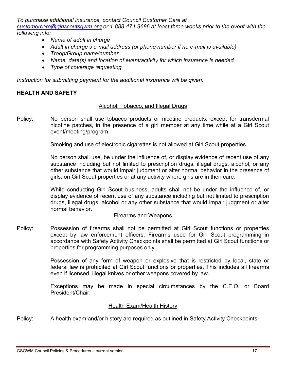*To purchase additional insurance, contact Council Customer Care at [customercare@girlscoutsgwm.org](mailto:customercare@girlscoutsgwm.org) or 1-888-474-9686 at least three weeks prior to the event with the following info:*

- *Name of adult in charge*
- *Adult in charge's e-mail address (or phone number if no e-mail is available)*
- *Troop/Group name/number*
- *Name, date(s) and location of event/activity for which insurance is needed*
- *Type of coverage requesting*

*Instruction for submitting payment for the additional insurance will be given.*

# **HEALTH AND SAFETY**

# Alcohol, Tobacco, and Illegal Drugs

Policy: No person shall use tobacco products or nicotine products, except for transdermal nicotine patches, in the presence of a girl member at any time while at a Girl Scout event/meeting/program.

Smoking and use of electronic cigarettes is not allowed at Girl Scout properties.

No person shall use, be under the influence of, or display evidence of recent use of any substance including but not limited to prescription drugs, illegal drugs, alcohol, or any other substance that would impair judgment or alter normal behavior in the presence of girls, on Girl Scout properties or at any activity where girls are in their care.

While conducting Girl Scout business, adults shall not be under the influence of, or display evidence of recent use of any substance including but not limited to prescription drugs, illegal drugs, alcohol or any other substance that would impair judgment or alter normal behavior.

### Firearms and Weapons

Policy: Possession of firearms shall not be permitted at Girl Scout functions or properties except by law enforcement officers. Firearms used for Girl Scout programming in accordance with Safety Activity Checkpoints shall be permitted at Girl Scout functions or properties for programming purposes only.

> Possession of any form of weapon or explosive that is restricted by local, state or federal law is prohibited at Girl Scout functions or properties. This includes all firearms even if licensed, illegal knives or other weapons covered by law.

> Exceptions may be made in special circumstances by the C.E.O. or Board President/Chair.

# **Health Exam/Health History**

Policy: A health exam and/or history are required as outlined in Safety Activity Checkpoints.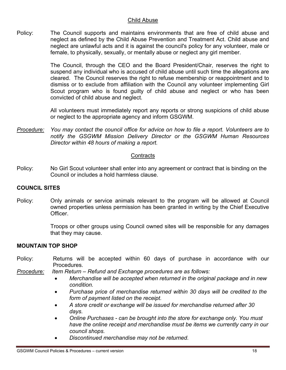# Child Abuse

Policy: The Council supports and maintains environments that are free of child abuse and neglect as defined by the Child Abuse Prevention and Treatment Act. Child abuse and neglect are unlawful acts and it is against the council's policy for any volunteer, male or female, to physically, sexually, or mentally abuse or neglect any girl member.

> The Council, through the CEO and the Board President/Chair, reserves the right to suspend any individual who is accused of child abuse until such time the allegations are cleared. The Council reserves the right to refuse membership or reappointment and to dismiss or to exclude from affiliation with the Council any volunteer implementing Girl Scout program who is found guilty of child abuse and neglect or who has been convicted of child abuse and neglect.

> All volunteers must immediately report any reports or strong suspicions of child abuse or neglect to the appropriate agency and inform GSGWM.

*Procedure: You may contact the council office for advice on how to file a report. Volunteers are to notify the GSGWM Mission Delivery Director or the GSGWM Human Resources Director within 48 hours of making a report.*

# **Contracts**

Policy: No Girl Scout volunteer shall enter into any agreement or contract that is binding on the Council or includes a hold harmless clause.

# **COUNCIL SITES**

Policy: Only animals or service animals relevant to the program will be allowed at Council owned properties unless permission has been granted in writing by the Chief Executive Officer.

> Troops or other groups using Council owned sites will be responsible for any damages that they may cause.

# **MOUNTAIN TOP SHOP**

- Policy: Returns will be accepted within 60 days of purchase in accordance with our Procedures.
- *Procedure: Item Return – Refund and Exchange procedures are as follows:*
	- *Merchandise will be accepted when returned in the original package and in new condition.*
	- *Purchase price of merchandise returned within 30 days will be credited to the form of payment listed on the receipt.*
	- *A store credit or exchange will be issued for merchandise returned after 30 days.*
	- *Online Purchases - can be brought into the store for exchange only. You must have the online receipt and merchandise must be items we currently carry in our council shops.*
	- *Discontinued merchandise may not be returned.*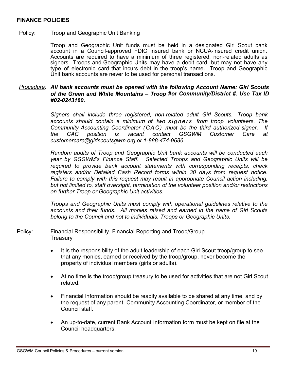# **FINANCE POLICIES**

## Policy: Troop and Geographic Unit Banking

Troop and Geographic Unit funds must be held in a designated Girl Scout bank account in a Council-approved FDIC insured bank or NCUA-insured credit union. Accounts are required to have a minimum of three registered, non-related adults as signers. Troops and Geographic Units may have a debit card, but may not have any type of electronic card that incurs debt in the troop's name. Troop and Geographic Unit bank accounts are never to be used for personal transactions.

# *Procedure: All bank accounts must be opened with the following Account Name: Girl Scouts of the Green and White Mountains – Troop #or Community/District #. Use Tax ID #02-0243160.*

*Signers shall include three registered, non-related adult Girl Scouts. Troop bank accounts should contain a minimum of two signers from troop volunteers. The Community Accounting Coordinator (CAC) must be the third authorized signer. If the CAC position is vacant contact GSGWM Customer Care at customercare@girlscoutsgwm.org or 1-888-474-9686.*

*Random audits of Troop and Geographic Unit bank accounts will be conducted each year by GSGWM's Finance Staff. Selected Troops and Geographic Units will be required to provide bank account statements with corresponding receipts, check registers and/or Detailed Cash Record forms within 30 days from request notice. Failure to comply with this request may result in appropriate Council action including, but not limited to, staff oversight, termination of the volunteer position and/or restrictions on further Troop or Geographic Unit activities.*

*Troops and Geographic Units must comply with operational guidelines relative to the accounts and their funds. All monies raised and earned in the name of Girl Scouts belong to the Council and not to individuals, Troops or Geographic Units.*

Policy: Financial Responsibility, Financial Reporting and Troop/Group **Treasury** 

- It is the responsibility of the adult leadership of each Girl Scout troop/group to see that any monies, earned or received by the troop/group, never become the property of individual members (girls or adults).
- At no time is the troop/group treasury to be used for activities that are not Girl Scout related.
- Financial Information should be readily available to be shared at any time, and by the request of any parent, Community Accounting Coordinator, or member of the Council staff.
- An up-to-date, current Bank Account Information form must be kept on file at the Council headquarters.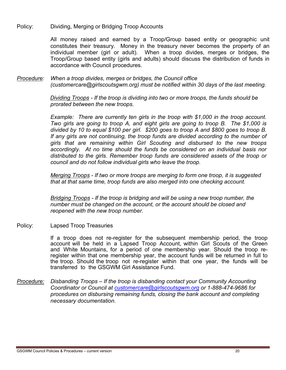Policy: Dividing, Merging or Bridging Troop Accounts

All money raised and earned by a Troop/Group based entity or geographic unit constitutes their treasury. Money in the treasury never becomes the property of an individual member (girl or adult). When a troop divides, merges or bridges, the Troop/Group based entity (girls and adults) should discuss the distribution of funds in accordance with Council procedures.

*Procedure: When a troop divides, merges or bridges, the Council office (customercare@girlscoutsgwm.org) must be notified within 30 days of the last meeting.*

> *Dividing Troops - If the troop is dividing into two or more troops, the funds should be prorated between the new troops.*

*Example: There are currently ten girls in the troop with \$1,000 in the troop account. Two girls are going to troop A, and eight girls are going to troop B. The \$1,000 is divided by 10 to equal \$100 per girl. \$200 goes to troop A and \$800 goes to troop B. If any girls are not continuing, the troop funds are divided according to the number of girls that are remaining within Girl Scouting and disbursed to the new troops accordingly. At no time should the funds be considered on an individual basis nor distributed to the girls. Remember troop funds are considered assets of the troop or council and do not follow individual girls who leave the troop.*

*Merging Troops - If two or more troops are merging to form one troop, it is suggested that at that same time, troop funds are also merged into one checking account.*

*Bridging Troops - If the troop is bridging and will be using a new troop number, the number must be changed on the account, or the account should be closed and reopened with the new troop number.*

Policy: Lapsed Troop Treasuries

If a troop does not re-register for the subsequent membership period, the troop account will be held in a Lapsed Troop Account, within Girl Scouts of the Green and White Mountains, for a period of one membership year. Should the troop reregister within that one membership year, the account funds will be returned in full to the troop. Should the troop not re-register within that one year, the funds will be transferred to the GSGWM Girl Assistance Fund.

*Procedure: Disbanding Troops – If the troop is disbanding contact your Community Accounting Coordinator or Council at [customercare@girlscoutsgwm.org](mailto:customercare@girlscoutsgwm.org) or 1-888-474-9686 for procedures on disbursing remaining funds, closing the bank account and completing necessary documentation.*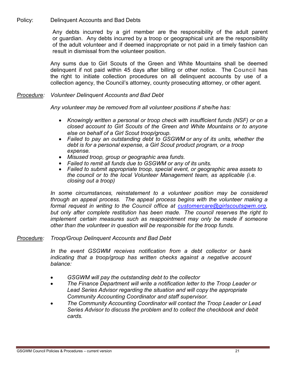Policy: Delinquent Accounts and Bad Debts

Any debts incurred by a girl member are the responsibility of the adult parent or guardian. Any debts incurred by a troop or geographical unit are the responsibility of the adult volunteer and if deemed inappropriate or not paid in a timely fashion can result in dismissal from the volunteer position.

Any sums due to Girl Scouts of the Green and White Mountains shall be deemed delinquent if not paid within 45 days after billing or other notice. The Council has the right to initiate collection procedures on all delinquent accounts by use of a collection agency, the Council's attorney, county prosecuting attorney, or other agent.

# *Procedure: Volunteer Delinquent Accounts and Bad Debt*

*Any volunteer may be removed from all volunteer positions if she/he has:*

- *Knowingly written a personal or troop check with insufficient funds (NSF) or on a closed account to Girl Scouts of the Green and White Mountains or to anyone else on behalf of a Girl Scout troop/group.*
- *Failed to pay an outstanding debt to GSGWM or any of its units, whether the debt is for a personal expense, a Girl Scout product program, or a troop expense.*
- *Misused troop, group or geographic area funds.*
- *Failed to remit all funds due to GSGWM or any of its units.*
- *Failed to submit appropriate troop, special event, or geographic area assets to the council or to the local Volunteer Management team, as applicable (i.e. closing out a troop)*

*In some circumstances, reinstatement to a volunteer position may be considered through an appeal process. The appeal process begins with the volunteer making a formal request in writing to the Council office at [customercare@girlscoutsgwm.org,](mailto:customercare@girlscoutsgwm.org) but only after complete restitution has been made. The council reserves the right to implement certain measures such as reappointment may only be made if someone other than the volunteer in question will be responsible for the troop funds.*

### *Procedure: Troop/Group Delinquent Accounts and Bad Debt*

*In the event GSGWM receives notification from a debt collector or bank indicating that a troop/group has written checks against a negative account balance:*

- *GSGWM will pay the outstanding debt to the collector*
- *The Finance Department will write a notification letter to the Troop Leader or Lead Series Advisor regarding the situation and will copy the appropriate Community Accounting Coordinator and staff supervisor.*
- *The Community Accounting Coordinator will contact the Troop Leader or Lead Series Advisor to discuss the problem and to collect the checkbook and debit cards.*